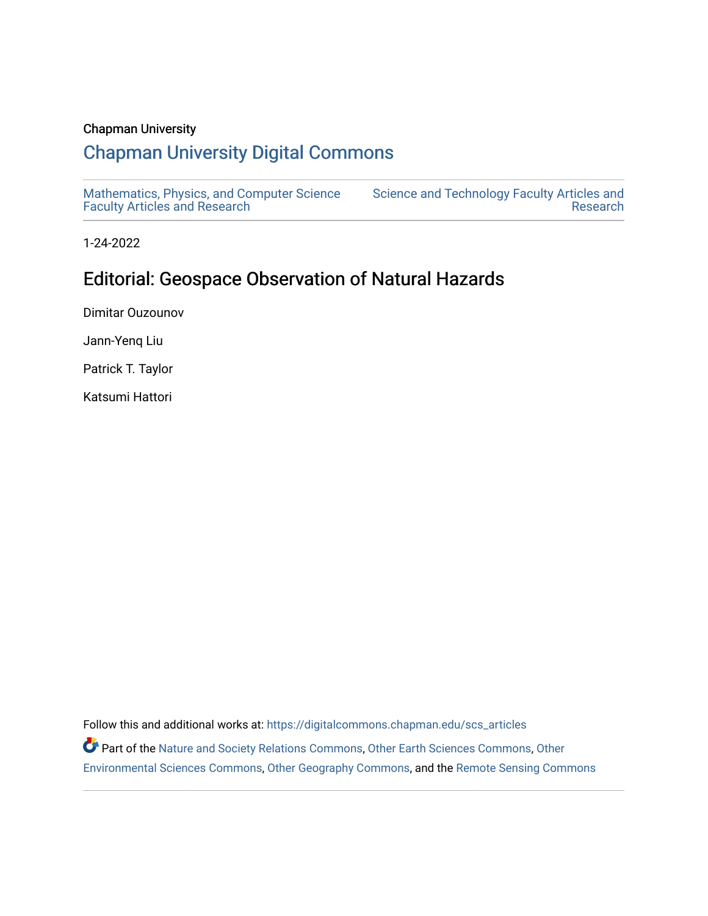## Chapman University

# [Chapman University Digital Commons](https://digitalcommons.chapman.edu/)

[Mathematics, Physics, and Computer Science](https://digitalcommons.chapman.edu/scs_articles)  [Faculty Articles and Research](https://digitalcommons.chapman.edu/scs_articles)

[Science and Technology Faculty Articles and](https://digitalcommons.chapman.edu/science_articles)  [Research](https://digitalcommons.chapman.edu/science_articles) 

1-24-2022

# Editorial: Geospace Observation of Natural Hazards

Dimitar Ouzounov

Jann-Yenq Liu

Patrick T. Taylor

Katsumi Hattori

Follow this and additional works at: [https://digitalcommons.chapman.edu/scs\\_articles](https://digitalcommons.chapman.edu/scs_articles?utm_source=digitalcommons.chapman.edu%2Fscs_articles%2F777&utm_medium=PDF&utm_campaign=PDFCoverPages)  Part of the [Nature and Society Relations Commons,](http://network.bepress.com/hgg/discipline/357?utm_source=digitalcommons.chapman.edu%2Fscs_articles%2F777&utm_medium=PDF&utm_campaign=PDFCoverPages) [Other Earth Sciences Commons,](http://network.bepress.com/hgg/discipline/166?utm_source=digitalcommons.chapman.edu%2Fscs_articles%2F777&utm_medium=PDF&utm_campaign=PDFCoverPages) [Other](http://network.bepress.com/hgg/discipline/173?utm_source=digitalcommons.chapman.edu%2Fscs_articles%2F777&utm_medium=PDF&utm_campaign=PDFCoverPages) [Environmental Sciences Commons,](http://network.bepress.com/hgg/discipline/173?utm_source=digitalcommons.chapman.edu%2Fscs_articles%2F777&utm_medium=PDF&utm_campaign=PDFCoverPages) [Other Geography Commons,](http://network.bepress.com/hgg/discipline/359?utm_source=digitalcommons.chapman.edu%2Fscs_articles%2F777&utm_medium=PDF&utm_campaign=PDFCoverPages) and the [Remote Sensing Commons](http://network.bepress.com/hgg/discipline/1192?utm_source=digitalcommons.chapman.edu%2Fscs_articles%2F777&utm_medium=PDF&utm_campaign=PDFCoverPages)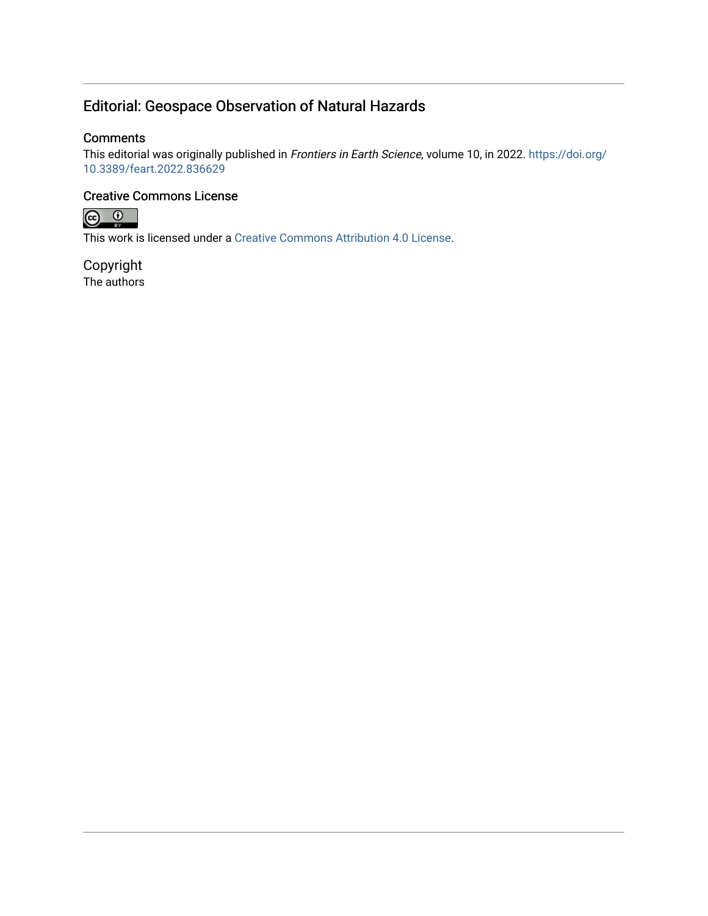# Editorial: Geospace Observation of Natural Hazards

### **Comments**

This editorial was originally published in Frontiers in Earth Science, volume 10, in 2022. [https://doi.org/](https://doi.org/10.3389/feart.2022.836629) [10.3389/feart.2022.836629](https://doi.org/10.3389/feart.2022.836629) 

## Creative Commons License



This work is licensed under a [Creative Commons Attribution 4.0 License](https://creativecommons.org/licenses/by/4.0/).

Copyright The authors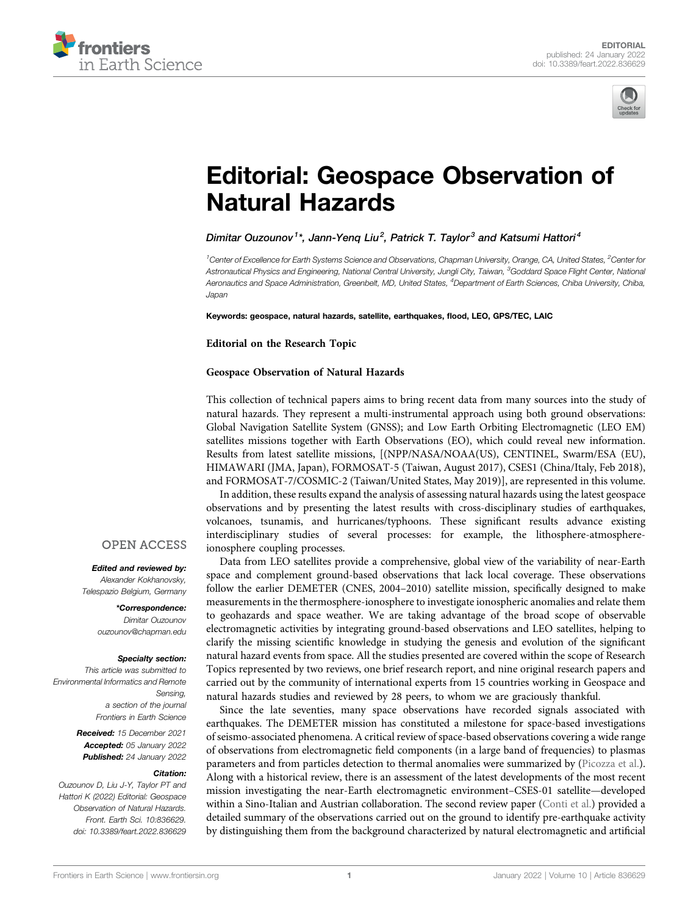



# [Editorial: Geospace Observation of](https://www.frontiersin.org/articles/10.3389/feart.2022.836629/full) [Natural Hazards](https://www.frontiersin.org/articles/10.3389/feart.2022.836629/full)

Dimitar Ouzounov<sup>1\*</sup>, Jann-Yeng Liu<sup>2</sup>, Patrick T. Taylor<sup>3</sup> and Katsumi Hattori<sup>4</sup>

 $^7$ Center of Excellence for Earth Systems Science and Observations, Chapman University, Orange, CA, United States,  $^2$ Center for Astronautical Physics and Engineering, National Central University, Jungli City, Taiwan, <sup>3</sup>Goddard Space Flight Center, National Aeronautics and Space Administration, Greenbelt, MD, United States, <sup>4</sup>Department of Earth Sciences, Chiba University, Chiba, Japan

Keywords: geospace, natural hazards, satellite, earthquakes, flood, LEO, GPS/TEC, LAIC

Editorial on the Research Topic

### [Geospace Observation of Natural Hazards](https://www.frontiersin.org/researchtopic/13970)

This collection of technical papers aims to bring recent data from many sources into the study of natural hazards. They represent a multi-instrumental approach using both ground observations: Global Navigation Satellite System (GNSS); and Low Earth Orbiting Electromagnetic (LEO EM) satellites missions together with Earth Observations (EO), which could reveal new information. Results from latest satellite missions, [(NPP/NASA/NOAA(US), CENTINEL, Swarm/ESA (EU), HIMAWARI (JMA, Japan), FORMOSAT-5 (Taiwan, August 2017), CSES1 (China/Italy, Feb 2018), and FORMOSAT-7/COSMIC-2 (Taiwan/United States, May 2019)], are represented in this volume.

In addition, these results expand the analysis of assessing natural hazards using the latest geospace observations and by presenting the latest results with cross-disciplinary studies of earthquakes, volcanoes, tsunamis, and hurricanes/typhoons. These significant results advance existing interdisciplinary studies of several processes: for example, the lithosphere-atmosphereionosphere coupling processes.

Data from LEO satellites provide a comprehensive, global view of the variability of near-Earth space and complement ground-based observations that lack local coverage. These observations follow the earlier DEMETER (CNES, 2004–2010) satellite mission, specifically designed to make measurements in the thermosphere-ionosphere to investigate ionospheric anomalies and relate them to geohazards and space weather. We are taking advantage of the broad scope of observable electromagnetic activities by integrating ground-based observations and LEO satellites, helping to clarify the missing scientific knowledge in studying the genesis and evolution of the significant natural hazard events from space. All the studies presented are covered within the scope of Research Topics represented by two reviews, one brief research report, and nine original research papers and carried out by the community of international experts from 15 countries working in Geospace and natural hazards studies and reviewed by 28 peers, to whom we are graciously thankful.

Since the late seventies, many space observations have recorded signals associated with earthquakes. The DEMETER mission has constituted a milestone for space-based investigations of seismo-associated phenomena. A critical review of space-based observations covering a wide range of observations from electromagnetic field components (in a large band of frequencies) to plasmas parameters and from particles detection to thermal anomalies were summarized by ([Picozza et al.\)](https://www.frontiersin.org/articles/10.3389/feart.2021.676775/full). Along with a historical review, there is an assessment of the latest developments of the most recent mission investigating the near-Earth electromagnetic environment–CSES-01 satellite—developed within a Sino-Italian and Austrian collaboration. The second review paper [\(Conti et al.\)](https://www.frontiersin.org/articles/10.3389/feart.2021.676766/full) provided a detailed summary of the observations carried out on the ground to identify pre-earthquake activity by distinguishing them from the background characterized by natural electromagnetic and artificial

### **OPEN ACCESS**

Edited and reviewed by: Alexander Kokhanovsky, Telespazio Belgium, Germany

> \*Correspondence: Dimitar Ouzounov [ouzounov@chapman.edu](mailto:ouzounov@chapman.edu)

#### Specialty section:

This article was submitted to Environmental Informatics and Remote Sensing, a section of the journal Frontiers in Earth Science

> Received: 15 December 2021 Accepted: 05 January 2022 Published: 24 January 2022

### Citation:

Ouzounov D, Liu J-Y, Taylor PT and Hattori K (2022) Editorial: Geospace Observation of Natural Hazards. Front. Earth Sci. 10:836629. doi: [10.3389/feart.2022.836629](https://doi.org/10.3389/feart.2022.836629)